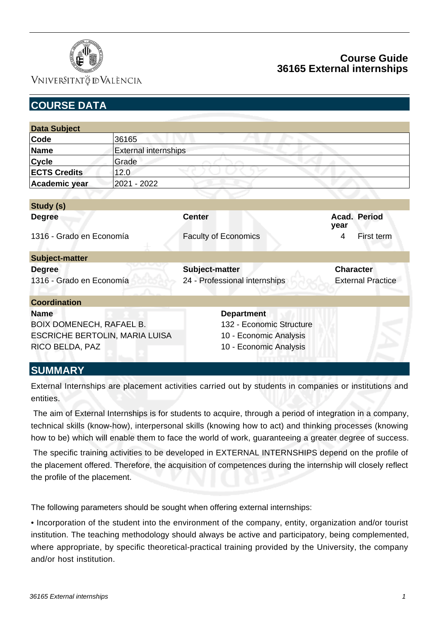

### VNIVERSITATÖ ID VALÈNCIA

# **Course Guide 36165 External internships**

| <b>COURSE DATA</b>                        |                             |                                                 |                                              |  |  |
|-------------------------------------------|-----------------------------|-------------------------------------------------|----------------------------------------------|--|--|
|                                           |                             |                                                 |                                              |  |  |
| <b>Data Subject</b>                       |                             |                                                 |                                              |  |  |
| Code                                      | 36165                       |                                                 |                                              |  |  |
| <b>Name</b>                               | <b>External internships</b> |                                                 |                                              |  |  |
| <b>Cycle</b>                              | Grade                       |                                                 |                                              |  |  |
| <b>ECTS Credits</b>                       | 12.0                        |                                                 |                                              |  |  |
| Academic year                             | 2021 - 2022                 |                                                 |                                              |  |  |
|                                           |                             |                                                 |                                              |  |  |
| Study (s)                                 |                             |                                                 |                                              |  |  |
| <b>Degree</b>                             |                             | <b>Center</b>                                   | Acad. Period<br>year                         |  |  |
| 1316 - Grado en Economía                  |                             | <b>Faculty of Economics</b>                     | 4<br>First term                              |  |  |
| <b>Subject-matter</b>                     |                             |                                                 |                                              |  |  |
| <b>Degree</b><br>1316 - Grado en Economía |                             | Subject-matter<br>24 - Professional internships | <b>Character</b><br><b>External Practice</b> |  |  |
|                                           |                             |                                                 |                                              |  |  |
| <b>Coordination</b>                       |                             |                                                 |                                              |  |  |
| <b>Name</b>                               |                             | <b>Department</b>                               |                                              |  |  |
| <b>BOIX DOMENECH, RAFAEL B.</b>           |                             | 132 - Economic Structure                        |                                              |  |  |
| ESCRICHE BERTOLIN, MARIA LUISA            |                             | 10 - Economic Analysis                          |                                              |  |  |
| RICO BELDA, PAZ                           |                             | 10 - Economic Analysis                          |                                              |  |  |
| <b>CLIBARA DV</b>                         |                             |                                                 |                                              |  |  |

#### **SUMMARY**

External Internships are placement activities carried out by students in companies or institutions and entities.

 The aim of External Internships is for students to acquire, through a period of integration in a company, technical skills (know-how), interpersonal skills (knowing how to act) and thinking processes (knowing how to be) which will enable them to face the world of work, guaranteeing a greater degree of success.

 The specific training activities to be developed in EXTERNAL INTERNSHIPS depend on the profile of the placement offered. Therefore, the acquisition of competences during the internship will closely reflect the profile of the placement.

The following parameters should be sought when offering external internships:

• Incorporation of the student into the environment of the company, entity, organization and/or tourist institution. The teaching methodology should always be active and participatory, being complemented, where appropriate, by specific theoretical-practical training provided by the University, the company and/or host institution.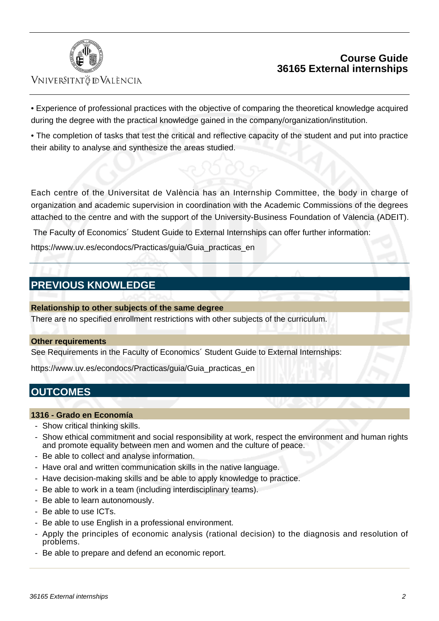

# VNIVERSITATÖ IDVALÈNCIA

## **Course Guide 36165 External internships**

• Experience of professional practices with the objective of comparing the theoretical knowledge acquired during the degree with the practical knowledge gained in the company/organization/institution.

• The completion of tasks that test the critical and reflective capacity of the student and put into practice their ability to analyse and synthesize the areas studied.

Each centre of the Universitat de València has an Internship Committee, the body in charge of organization and academic supervision in coordination with the Academic Commissions of the degrees attached to the centre and with the support of the University-Business Foundation of Valencia (ADEIT).

The Faculty of Economics´ Student Guide to External Internships can offer further information:

[https://www.uv.es/econdocs/Practicas/guia/Guia\\_practicas\\_en](https://www.uv.es/econdocs/Practicas/guia/Guia_practicas_en)

# **PREVIOUS KNOWLEDGE**

**Relationship to other subjects of the same degree**

There are no specified enrollment restrictions with other subjects of the curriculum.

#### **Other requirements**

See Requirements in the Faculty of Economics´ Student Guide to External Internships:

https://www.uv.es/econdocs/Practicas/guia/Guia\_practicas\_en

# **OUTCOMES**

#### **1316 - Grado en Economía**

- Show critical thinking skills.
- Show ethical commitment and social responsibility at work, respect the environment and human rights and promote equality between men and women and the culture of peace.
- Be able to collect and analyse information.
- Have oral and written communication skills in the native language.
- Have decision-making skills and be able to apply knowledge to practice.
- Be able to work in a team (including interdisciplinary teams).
- Be able to learn autonomously.
- Be able to use ICTs.
- Be able to use English in a professional environment.
- Apply the principles of economic analysis (rational decision) to the diagnosis and resolution of problems.
- Be able to prepare and defend an economic report.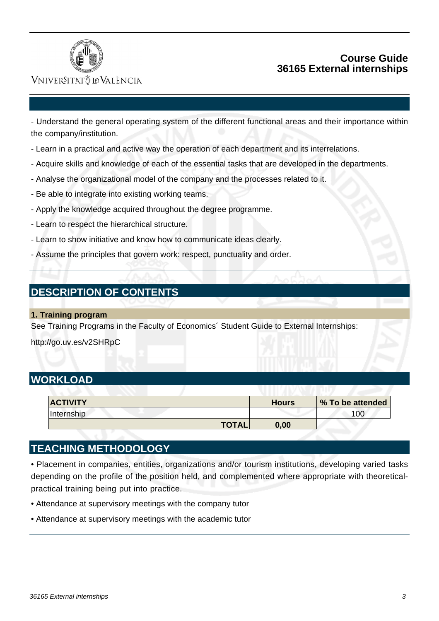

### **Course Guide 36165 External internships**

### VNIVERSITATÖ IDVALÈNCIA

- Understand the general operating system of the different functional areas and their importance within the company/institution.

- Learn in a practical and active way the operation of each department and its interrelations.
- Acquire skills and knowledge of each of the essential tasks that are developed in the departments.
- Analyse the organizational model of the company and the processes related to it.
- Be able to integrate into existing working teams.
- Apply the knowledge acquired throughout the degree programme.
- Learn to respect the hierarchical structure.
- Learn to show initiative and know how to communicate ideas clearly.
- Assume the principles that govern work: respect, punctuality and order.

# **DESCRIPTION OF CONTENTS**

**1. Training program**

See Training Programs in the Faculty of Economics´ Student Guide to External Internships:

http://go.uv.es/v2SHRpC

### **WORKLOAD**

| <b>ACTIVITY</b>   |              | <b>Hours</b> | % To be attended |
|-------------------|--------------|--------------|------------------|
| <i>Internship</i> |              |              | 00               |
|                   | <b>TOTAL</b> | 0,00         |                  |

### **TEACHING METHODOLOGY**

• Placement in companies, entities, organizations and/or tourism institutions, developing varied tasks depending on the profile of the position held, and complemented where appropriate with theoreticalpractical training being put into practice.

- Attendance at supervisory meetings with the company tutor
- Attendance at supervisory meetings with the academic tutor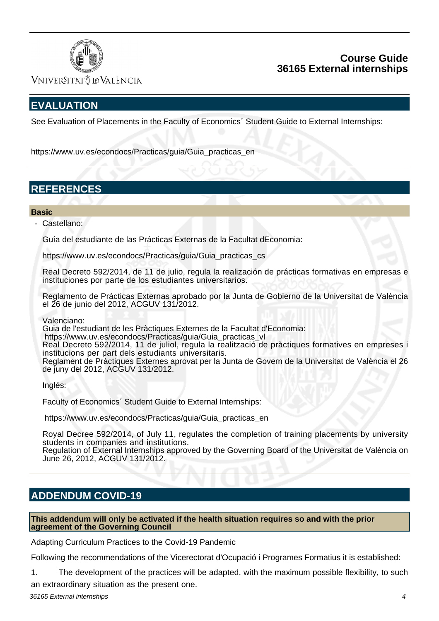

### **Course Guide 36165 External internships**

Vniver§itatğ dValència

# **EVALUATION**

See Evaluation of Placements in the Faculty of Economics´ Student Guide to External Internships:

[https://www.uv.es/econdocs/Practicas/guia/Guia\\_practicas\\_en](https:/www.uv.es/econdocs/Practicas/guia/Guia_practicas_en)

# **REFERENCES**

#### **Basic**

- Castellano:

Guía del estudiante de las Prácticas Externas de la Facultat dEconomia:

https://www.uv.es/econdocs/Practicas/guia/Guia\_practicas\_cs

Real Decreto 592/2014, de 11 de julio, regula la realización de prácticas formativas en empresas e instituciones por parte de los estudiantes universitarios.

Reglamento de Prácticas Externas aprobado por la Junta de Gobierno de la Universitat de València el 26 de junio del 2012, ACGUV 131/2012.

Valenciano:

Guia de l'estudiant de les Pràctiques Externes de la Facultat d'Economia:

https://www.uv.es/econdocs/Practicas/guia/Guia\_practicas\_vl

Real Decreto 592/2014, 11 de juliol, regula la realització de pràctiques formatives en empreses i institucions per part dels estudiants universitaris.

Reglament de Pràctiques Externes aprovat per la Junta de Govern de la Universitat de València el 26 de juny del 2012, ACGUV 131/2012.

Inglés:

Faculty of Economics´ Student Guide to External Internships:

https://www.uv.es/econdocs/Practicas/guia/Guia\_practicas\_en

Royal Decree 592/2014, of July 11, regulates the completion of training placements by university students in companies and institutions.

Regulation of External Internships approved by the Governing Board of the Universitat de València on June 26, 2012, ACGUV 131/2012.

# **ADDENDUM COVID-19**

#### **This addendum will only be activated if the health situation requires so and with the prior agreement of the Governing Council**

Adapting Curriculum Practices to the Covid-19 Pandemic

Following the recommendations of the Vicerectorat d'Ocupació i Programes Formatius it is established:

1. The development of the practices will be adapted, with the maximum possible flexibility, to such an extraordinary situation as the present one.